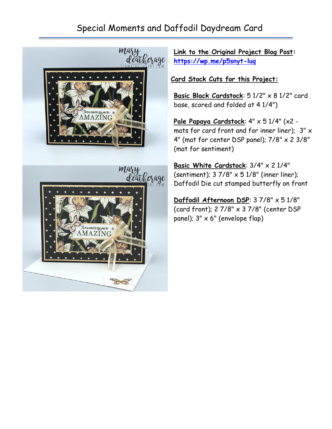## Special Moments and Daffodil Daydream Card





**Link to the Original Project Blog Post: <https://wp.me/p5snyt-luq>**

**Card Stock Cuts for this Project:**

Basic Black Cardstock: 5 1/2" x 8 1/2" card base, scored and folded at 4 1/4")

**Pale Papaya Cardstock**: 4" x 5 1/4" (x2 mats for card front and for inner liner);  $3" \times$ 4" (mat for center DSP panel);  $7/8$ "  $\times$  2 3/8" (mat for sentiment)

**Basic White Cardstock**: 3/4" x 2 1/4" (sentiment);  $37/8" \times 51/8"$  (inner liner); Daffodil Die cut stamped butterfly on front

**Daffodil Afternoon DSP**: 3 7/8" x 5 1/8" (card front); 2 7/8" x 3 7/8" (center DSP panel);  $3'' \times 6''$  (envelope flap)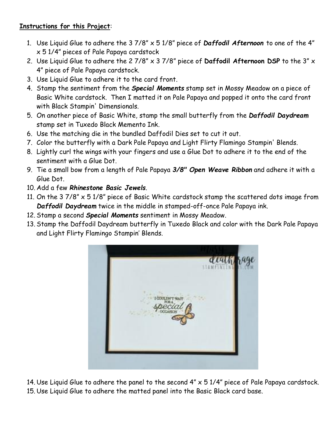## **Instructions for this Project**:

- 1. Use Liquid Glue to adhere the 3 7/8" x 5 1/8" piece of *Daffodil Afternoon* to one of the 4" x 5 1/4" pieces of Pale Papaya cardstock
- 2. Use Liquid Glue to adhere the 2 7/8" x 3 7/8" piece of **Daffodil Afternoon DSP** to the 3" x 4" piece of Pale Papaya cardstock.
- 3. Use Liquid Glue to adhere it to the card front.
- 4. Stamp the sentiment from the *Special Moments* stamp set in Mossy Meadow on a piece of Basic White cardstock. Then I matted it on Pale Papaya and popped it onto the card front with Black Stampin' Dimensionals.
- 5. On another piece of Basic White, stamp the small butterfly from the *Daffodil Daydream* stamp set in Tuxedo Black Memento Ink.
- 6. Use the matching die in the bundled Daffodil Dies set to cut it out.
- 7. Color the butterfly with a Dark Pale Papaya and Light Flirty Flamingo Stampin' Blends.
- 8. Lightly curl the wings with your fingers and use a Glue Dot to adhere it to the end of the sentiment with a Glue Dot.
- 9. Tie a small bow from a length of Pale Papaya *3/8" Open Weave Ribbon* and adhere it with a Glue Dot.
- 10. Add a few *Rhinestone Basic Jewels.*
- 11. On the  $3\,7/8$ "  $\times$   $5\,1/8$ " piece of Basic White cardstock stamp the scattered dots image from *Daffodil Daydream* twice in the middle in stamped-off-once Pale Papaya ink.
- 12. Stamp a second *Special Moments* sentiment in Mossy Meadow.
- 13. Stamp the Daffodil Daydream butterfly in Tuxedo Black and color with the Dark Pale Papaya and Light Flirty Flamingo Stampin' Blends.



14. Use Liquid Glue to adhere the panel to the second 4" x 5 1/4" piece of Pale Papaya cardstock. 15. Use Liquid Glue to adhere the matted panel into the Basic Black card base.